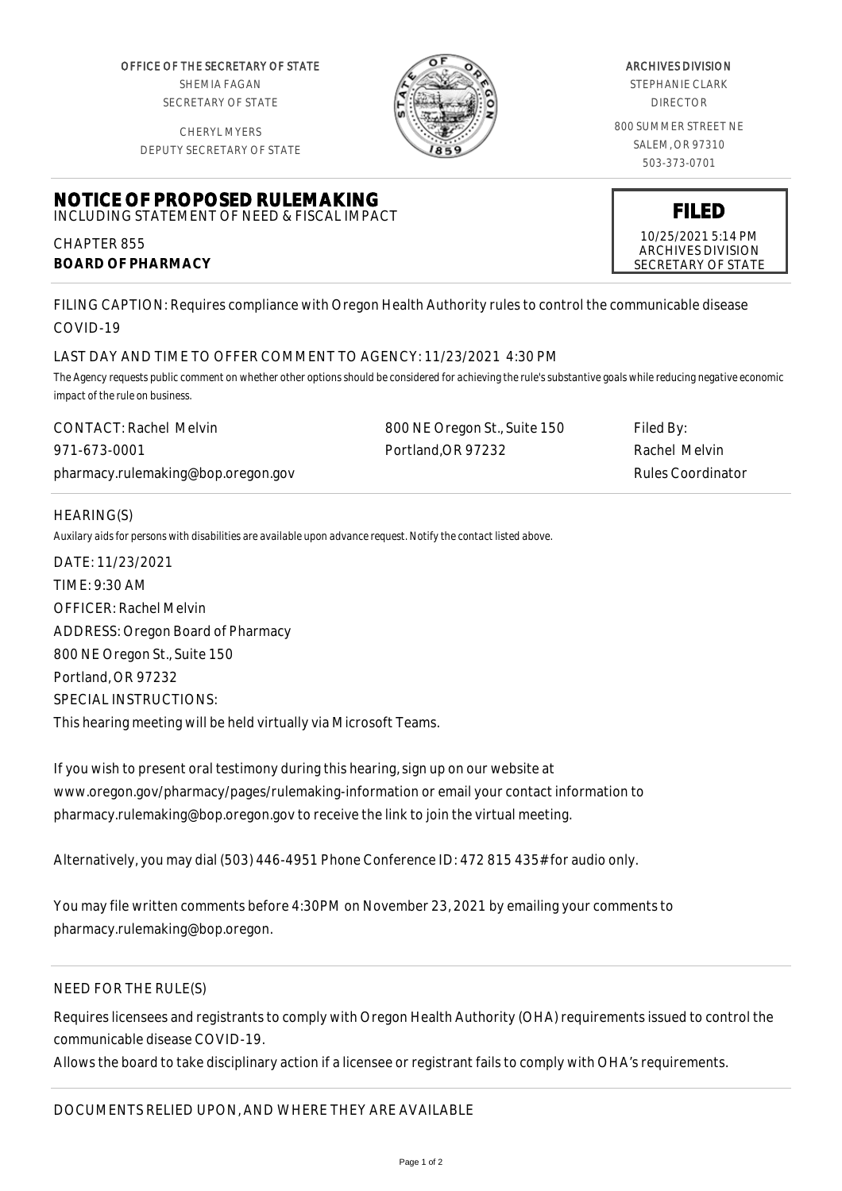OFFICE OF THE SECRETARY OF STATE SHEMIA FAGAN SECRETARY OF STATE

CHERYL MYERS



### ARCHIVES DIVISION

STEPHANIE CLARK DIRECTOR

800 SUMMER STREET NE SALEM, OR 97310 503-373-0701

> **FILED** 10/25/2021 5:14 PM ARCHIVES DIVISION SECRETARY OF STATE

DEPUTY SECRETARY OF STATE

#### **NOTICE OF PROPOSED RULEMAKING** INCLUDING STATEMENT OF NEED & FISCAL IMPACT

CHAPTER 855 **BOARD OF PHARMACY**

FILING CAPTION: Requires compliance with Oregon Health Authority rules to control the communicable disease COVID-19

# LAST DAY AND TIME TO OFFER COMMENT TO AGENCY: 11/23/2021 4:30 PM

*The Agency requests public comment on whether other options should be considered for achieving the rule's substantive goals while reducing negative economic impact of the rule on business.*

| CONTACT: Rachel Melvin             | 800 NE Oregon St., Suite 150 | Filed By:         |
|------------------------------------|------------------------------|-------------------|
| 971-673-0001                       | Portland, OR 97232           | Rachel Melvin     |
| pharmacy.rulemaking@bop.oregon.gov |                              | Rules Coordinator |

# HEARING(S)

*Auxilary aids for persons with disabilities are available upon advance request. Notify the contact listed above.*

DATE: 11/23/2021 TIME: 9:30 AM OFFICER: Rachel Melvin ADDRESS: Oregon Board of Pharmacy 800 NE Oregon St., Suite 150 Portland, OR 97232 SPECIAL INSTRUCTIONS: This hearing meeting will be held virtually via Microsoft Teams.

If you wish to present oral testimony during this hearing, sign up on our website at www.oregon.gov/pharmacy/pages/rulemaking-information or email your contact information to pharmacy.rulemaking@bop.oregon.gov to receive the link to join the virtual meeting.

Alternatively, you may dial (503) 446-4951 Phone Conference ID: 472 815 435# for audio only.

You may file written comments before 4:30PM on November 23, 2021 by emailing your comments to pharmacy.rulemaking@bop.oregon.

# NEED FOR THE RULE(S)

Requires licensees and registrants to comply with Oregon Health Authority (OHA) requirements issued to control the communicable disease COVID-19.

Allows the board to take disciplinary action if a licensee or registrant fails to comply with OHA's requirements.